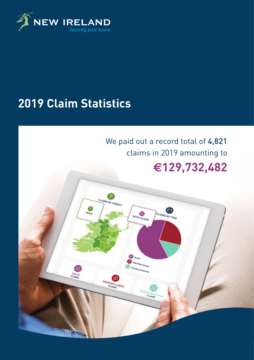

# **2019 Claim Statistics**

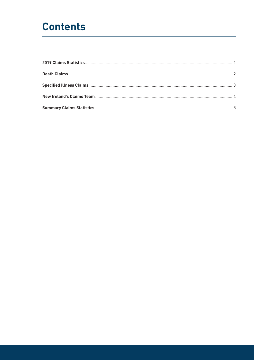## **Contents**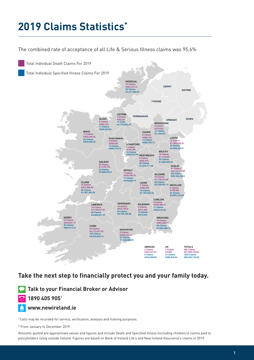# **2019 Claims Statistics\***

The combined rate of acceptance of all Life & Serious Illness claims was 95.6%



### **Take the next step to financially protect you and your family today.**

**Talk to your Financial Broker or Advisor 1890 405 905**†

**www.newireland.ie**

<sup>+</sup> Calls may be recorded for service, verification, analysis and training purposes.

\*.From.January.to.December.2019.

Amounts quoted are approximate values and figures and include Death and Specified Illness (including children's) claims paid to policyholders.living outside Ireland. Figures are based on Bank of Ireland Life's and New Ireland Assurance's claims in 2019.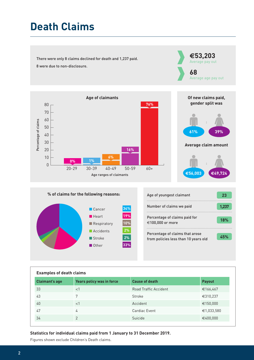# **Death Claims**

There were only 8 claims declined for death and 1,237 paid. 8 were due to non-disclosure.





**#53,203** Average pay out



# **% of claims for the following reasons:**



| Age of youngest claimant                                                | 23    |
|-------------------------------------------------------------------------|-------|
| Number of claims we paid                                                | 1.237 |
| Percentage of claims paid for<br>€100,000 or more                       | 18%   |
| Percentage of claims that arose<br>from policies less than 10 years old | 45%   |

| <b>Examples of death claims</b> |                           |                       |               |  |
|---------------------------------|---------------------------|-----------------------|---------------|--|
| <b>Claimant's age</b>           | Years policy was in force | <b>Cause of death</b> | <b>Payout</b> |  |
| 33                              | $<$ 1                     | Road Traffic Accident | €166,467      |  |
| 43                              | 7                         | Stroke                | €310,237      |  |
| 40                              | $<$ 1                     | Accident              | €150,000      |  |
| 47                              | 4                         | Cardiac Event         | €1,033,580    |  |
| 34                              | $\mathcal{P}$             | Suicide               | €400,000      |  |

#### **Statistics for individual claims paid from 1 January to 31 December 2019.**

Figures shown exclude Children's Death claims.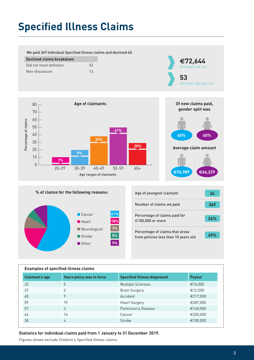# **Specified Illness Claims**

We paid 369 Individual Specified Illness claims and declined 65.

| Declined claims breakdown |    |  |
|---------------------------|----|--|
| Did not meet defintion    | 52 |  |
| Non-disclosure            | 13 |  |



**Of new claims paid, gender split was**

**:**

**:**

**E66,229**

**40%**

**Average claim amount**





| Age of youngest claimant                                                | 24  |
|-------------------------------------------------------------------------|-----|
| Number of claims we paid                                                | 369 |
| Percentage of claims paid for<br>€100,000 or more                       | 26% |
| Percentage of claims that arose<br>from policies less than 10 years old | 49% |

**E76,989**

**60%**

| <b>Examples of specified illness claims</b> |                                  |                                    |               |  |  |
|---------------------------------------------|----------------------------------|------------------------------------|---------------|--|--|
| <b>Claimant's age</b>                       | <b>Years policy was in force</b> | <b>Specified Illness diagnosed</b> | <b>Payout</b> |  |  |
| 32                                          | 5                                | <b>Multiple Sclerosis</b>          | €76,000       |  |  |
| 37                                          | $\mathcal{P}$                    | <b>Brain Surgery</b>               | €12,500       |  |  |
| 40                                          | 9                                | Accident                           | €217,000      |  |  |
| 59                                          | 19                               | <b>Heart Surgery</b>               | €387,000      |  |  |
| 57                                          | 3                                | Parkinson's Disease                | €140,000      |  |  |
| 44                                          | 14                               | Cancer                             | €255,000      |  |  |
| 38                                          | 4                                | Stroke                             | €100,000      |  |  |

#### **Statistics for individual claims paid from 1 January to 31 December 2019.**

Figures shown exclude Children's Specified Illness claims.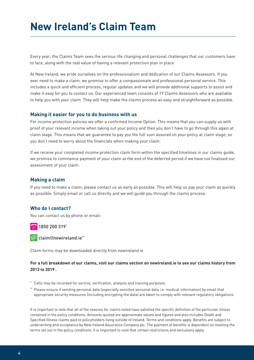## **New Ireland's Claim Team**

Every year, the Claims Team sees the serious life changing and personal challenges that our customers have to face, along with the real value of having a relevant protection plan in place.

At New Ireland, we pride ourselves on the professionalism and dedication of our Claims Assessors. If you ever need to make a claim, we promise to offer a compassionate and professional personal service. This includes a quick and efficient process, regular updates and we will provide additional supports to assist and make it easy for you to contact us. Our experienced team consists of 19 Claims Assessors who are available to help you with your claim. They will help make the claims process as easy and straightforward as possible.

#### **Making it easier for you to do business with us**

For income protection policies we offer a confirmed Income Option. This means that you can supply us with proof of your relevant income when taking out your policy and then you don't have to go through this again at claim stage. This means that we guarantee to pay you the full sum assured on your policy at claim stage, so you don't need to worry about the financials when making your claim.

If we receive your completed income protection claim form within the specified timelines in our claims guide, we promise to commence payment of your claim at the end of the deferred period if we have not finalised our assessment of your claim.

#### **Making a claim**

If you need to make a claim, please contact us as early as possible. This will help us pay your claim as quickly as possible. Simply email or call us directly and we will guide you through the claims process.

#### **Who do I contact?**

You can contact us by phone or email:

1850 200 319\*

 $\omega$  claim@newireland.ie\*\*

Claim forms may be downloaded directly from newireland.ie

#### **For a full breakdown of our claims, visit our claims section on newireland.ie to see our claims history from 2013 to 2019 .**

- \* Calls may be recorded for service, verification, analysis and training purposes.
- \*\* Please ensure if sending personal data (especially sensitive personal data i.e. medical information) by email that appropriate security measures (including encrypting the data) are taken to comply with relevant regulatory obligations.

It is important to note that all of the reasons for claims listed have satisfied the specific definition of the particular illness contained in the policy conditions. Amounts quoted are approximate values and figures and also includes Death and Specified Illness claims paid to policyholders living outside of Ireland. Terms and conditions apply. Benefits are subject to underwriting and acceptance by New Ireland Assurance Company plc. The payment of benefits is dependent on meeting the terms set out in the policy conditions. It is important to note that certain restrictions and exclusions apply.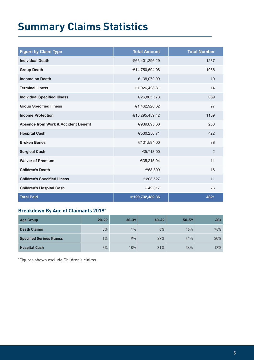# **Summary Claims Statistics**

| <b>Figure by Claim Type</b>                     | <b>Total Amount</b> | <b>Total Number</b> |
|-------------------------------------------------|---------------------|---------------------|
| <b>Individual Death</b>                         | €66,401,296.29      | 1237                |
| <b>Group Death</b>                              | €14,750,694.08      | 1056                |
| <b>Income on Death</b>                          | €138,072.99         | 10                  |
| <b>Terminal Illness</b>                         | €1,926,428.81       | 14                  |
| <b>Individual Specified Illness</b>             | €26,805,573         | 369                 |
| <b>Group Specified Illness</b>                  | €1,462,928.62       | 97                  |
| <b>Income Protection</b>                        | €16,295,459.42      | 1159                |
| <b>Absence from Work &amp; Accident Benefit</b> | €939,895.68         | 253                 |
| <b>Hospital Cash</b>                            | €530,256.71         | 422                 |
| <b>Broken Bones</b>                             | €131,594.00         | 88                  |
| <b>Surgical Cash</b>                            | €5,713.00           | $\overline{2}$      |
| <b>Waiver of Premium</b>                        | €35,215.94          | 11                  |
| <b>Children's Death</b>                         | €63,809             | 16                  |
| <b>Children's Specified Illness</b>             | €203,527            | 11                  |
| <b>Children's Hospital Cash</b>                 | €42,017             | 76                  |
| <b>Total Paid</b>                               | €129,732,482.36     | 4821                |

### **Breakdown By Age of Claimants 2019\***

| <b>Age Group</b>                 | $20 - 29$ | $30 - 39$ | $40 - 49$ | $50 - 59$ | $60+$ |
|----------------------------------|-----------|-----------|-----------|-----------|-------|
| <b>Death Claims</b>              | $0\%$     | 1%        | 6%        | 16%       | 76%   |
| <b>Specified Serious Illness</b> | $1\%$     | 9%        | 29%       | 41%       | 20%   |
| <b>Hospital Cash</b>             | 3%        | 18%       | 31%       | 36%       | 12%   |

\* Figures shown exclude Children's claims.